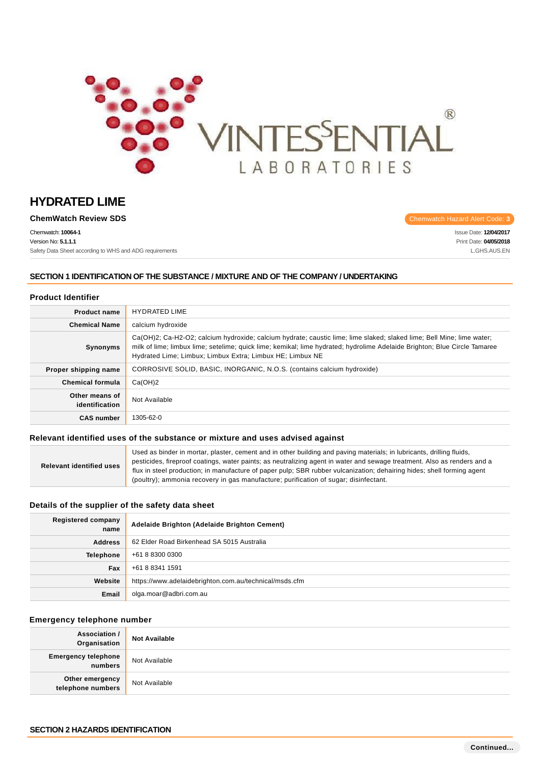

**ChemWatch Review SDS Chemwatch Hazard Alert Code: 3** 

Chemwatch: **10064-1** Version No: **5.1.1.1** Safety Data Sheet according to WHS and ADG requirements

Issue Date: **12/04/2017** Print Date: **04/05/2018** L.GHS.AUS.EN

## **SECTION 1 IDENTIFICATION OF THE SUBSTANCE / MIXTURE AND OF THE COMPANY / UNDERTAKING**

### **Product Identifier**

| <b>Product name</b>              | <b>HYDRATED LIME</b>                                                                                                                                                                                                                                                                                            |  |
|----------------------------------|-----------------------------------------------------------------------------------------------------------------------------------------------------------------------------------------------------------------------------------------------------------------------------------------------------------------|--|
| <b>Chemical Name</b>             | calcium hydroxide                                                                                                                                                                                                                                                                                               |  |
| <b>Synonyms</b>                  | Ca(OH)2; Ca-H2-O2; calcium hydroxide; calcium hydrate; caustic lime; lime slaked; slaked lime; Bell Mine; lime water;<br>milk of lime; limbux lime; setelime; quick lime; kemikal; lime hydrated; hydrolime Adelaide Brighton; Blue Circle Tamaree<br>Hydrated Lime; Limbux; Limbux Extra; Limbux HE; Limbux NE |  |
| Proper shipping name             | CORROSIVE SOLID, BASIC, INORGANIC, N.O.S. (contains calcium hydroxide)                                                                                                                                                                                                                                          |  |
| <b>Chemical formula</b>          | Ca(OH)2                                                                                                                                                                                                                                                                                                         |  |
| Other means of<br>identification | Not Available                                                                                                                                                                                                                                                                                                   |  |
| <b>CAS number</b>                | 1305-62-0                                                                                                                                                                                                                                                                                                       |  |

### **Relevant identified uses of the substance or mixture and uses advised against**

| <b>Relevant identified uses</b> | Used as binder in mortar, plaster, cement and in other building and paving materials; in lubricants, drilling fluids,    |
|---------------------------------|--------------------------------------------------------------------------------------------------------------------------|
|                                 | pesticides, fireproof coatings, water paints; as neutralizing agent in water and sewage treatment. Also as renders and a |
|                                 | flux in steel production; in manufacture of paper pulp; SBR rubber vulcanization; dehairing hides; shell forming agent   |
|                                 | (poultry); ammonia recovery in gas manufacture; purification of sugar; disinfectant.                                     |

## **Details of the supplier of the safety data sheet**

| Registered company<br>name | Adelaide Brighton (Adelaide Brighton Cement)           |  |
|----------------------------|--------------------------------------------------------|--|
| <b>Address</b>             | 62 Elder Road Birkenhead SA 5015 Australia             |  |
| <b>Telephone</b>           | +61 8 8300 0300                                        |  |
| Fax                        | +61 8 8341 1591                                        |  |
| Website                    | https://www.adelaidebrighton.com.au/technical/msds.cfm |  |
| Email                      | olga.moar@adbri.com.au                                 |  |

# **Emergency telephone number**

| Association /<br>Organisation         | <b>Not Available</b> |
|---------------------------------------|----------------------|
| <b>Emergency telephone</b><br>numbers | Not Available        |
| Other emergency<br>telephone numbers  | Not Available        |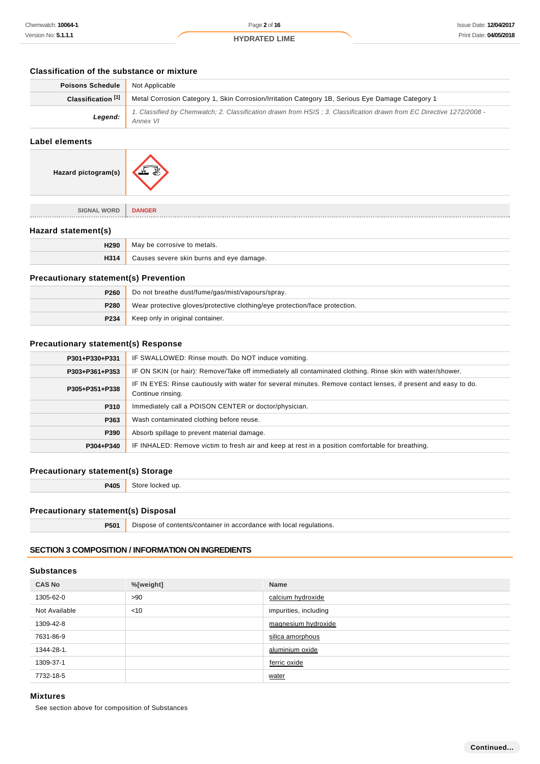# **Classification of the substance or mixture**

| <b>Poisons Schedule</b>       | Not Applicable                                                                                                                   |  |
|-------------------------------|----------------------------------------------------------------------------------------------------------------------------------|--|
| Classification <sup>[1]</sup> | Metal Corrosion Category 1, Skin Corrosion/Irritation Category 1B, Serious Eye Damage Category 1                                 |  |
| Legend:                       | 1. Classified by Chemwatch; 2. Classification drawn from HSIS; 3. Classification drawn from EC Directive 1272/2008 -<br>Annex VI |  |

# **Label elements**

| Hazard pictogram(s) |  |
|---------------------|--|
|---------------------|--|

| <b>SIGNAL WORD</b> | <b>DANGER</b> |
|--------------------|---------------|
|                    |               |

# **Hazard statement(s)**

. . . . . . . . . . . . . . . . . . . .

| H290<br>May be corrosive to metals. |                                          |  |
|-------------------------------------|------------------------------------------|--|
| H314                                | Causes severe skin burns and eye damage. |  |

# **Precautionary statement(s) Prevention**

| P260                                     | Do not breathe dust/fume/gas/mist/vapours/spray.                           |  |
|------------------------------------------|----------------------------------------------------------------------------|--|
| P280                                     | Wear protective gloves/protective clothing/eye protection/face protection. |  |
| Keep only in original container.<br>P234 |                                                                            |  |

# **Precautionary statement(s) Response**

| P301+P330+P331 | IF SWALLOWED: Rinse mouth. Do NOT induce vomiting.                                                                                  |  |
|----------------|-------------------------------------------------------------------------------------------------------------------------------------|--|
| P303+P361+P353 | IF ON SKIN (or hair): Remove/Take off immediately all contaminated clothing. Rinse skin with water/shower.                          |  |
| P305+P351+P338 | IF IN EYES: Rinse cautiously with water for several minutes. Remove contact lenses, if present and easy to do.<br>Continue rinsing. |  |
| P310           | Immediately call a POISON CENTER or doctor/physician.                                                                               |  |
| P363           | Wash contaminated clothing before reuse.<br>Absorb spillage to prevent material damage.<br>P390                                     |  |
|                |                                                                                                                                     |  |
| P304+P340      | IF INHALED: Remove victim to fresh air and keep at rest in a position comfortable for breathing.                                    |  |
|                |                                                                                                                                     |  |

# **Precautionary statement(s) Storage**

**P405** Store locked up.

# **Precautionary statement(s) Disposal**

| P501 | Dispose of contents/container in accordance with local regulations. |
|------|---------------------------------------------------------------------|
|      |                                                                     |

# **SECTION 3 COMPOSITION / INFORMATION ON INGREDIENTS**

# **Substances**

| <b>CAS No</b> | %[weight] | <b>Name</b>           |
|---------------|-----------|-----------------------|
| 1305-62-0     | >90       | calcium hydroxide     |
| Not Available | < 10      | impurities, including |
| 1309-42-8     |           | magnesium hydroxide   |
| 7631-86-9     |           | silica amorphous      |
| 1344-28-1.    |           | aluminium oxide       |
| 1309-37-1     |           | ferric oxide          |
| 7732-18-5     |           | water                 |

# **Mixtures**

See section above for composition of Substances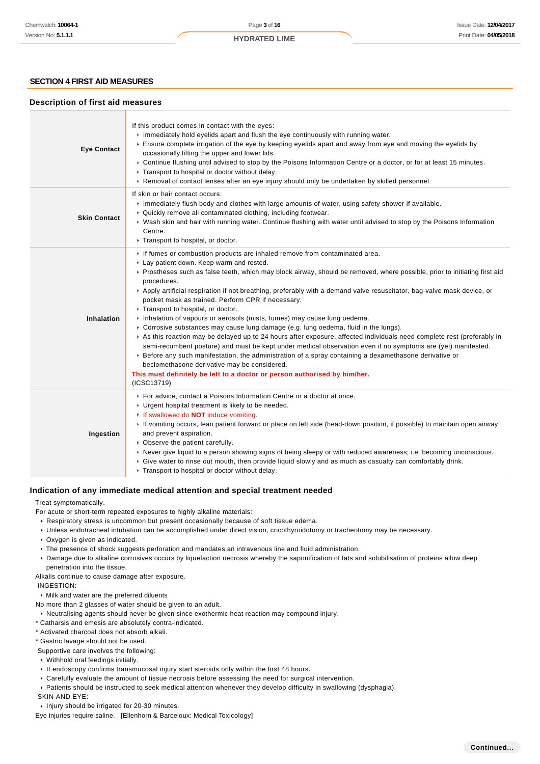### **SECTION 4 FIRST AID MEASURES**

### **Description of first aid measures**

| <b>Eye Contact</b>  | If this product comes in contact with the eyes:<br>Immediately hold eyelids apart and flush the eye continuously with running water.<br>▶ Ensure complete irrigation of the eye by keeping eyelids apart and away from eye and moving the eyelids by<br>occasionally lifting the upper and lower lids.<br>▶ Continue flushing until advised to stop by the Poisons Information Centre or a doctor, or for at least 15 minutes.<br>▶ Transport to hospital or doctor without delay.<br>▶ Removal of contact lenses after an eye injury should only be undertaken by skilled personnel.                                                                                                                                                                                                                                                                                                                                                                                                                                                                                                                                                                      |
|---------------------|------------------------------------------------------------------------------------------------------------------------------------------------------------------------------------------------------------------------------------------------------------------------------------------------------------------------------------------------------------------------------------------------------------------------------------------------------------------------------------------------------------------------------------------------------------------------------------------------------------------------------------------------------------------------------------------------------------------------------------------------------------------------------------------------------------------------------------------------------------------------------------------------------------------------------------------------------------------------------------------------------------------------------------------------------------------------------------------------------------------------------------------------------------|
| <b>Skin Contact</b> | If skin or hair contact occurs:<br>Immediately flush body and clothes with large amounts of water, using safety shower if available.<br>• Quickly remove all contaminated clothing, including footwear.<br>▶ Wash skin and hair with running water. Continue flushing with water until advised to stop by the Poisons Information<br>Centre.<br>Transport to hospital, or doctor.                                                                                                                                                                                                                                                                                                                                                                                                                                                                                                                                                                                                                                                                                                                                                                          |
| <b>Inhalation</b>   | If fumes or combustion products are inhaled remove from contaminated area.<br>Lay patient down. Keep warm and rested.<br>▶ Prostheses such as false teeth, which may block airway, should be removed, where possible, prior to initiating first aid<br>procedures.<br>▶ Apply artificial respiration if not breathing, preferably with a demand valve resuscitator, bag-valve mask device, or<br>pocket mask as trained. Perform CPR if necessary.<br>Transport to hospital, or doctor.<br>Inhalation of vapours or aerosols (mists, fumes) may cause lung oedema.<br>► Corrosive substances may cause lung damage (e.g. lung oedema, fluid in the lungs).<br>As this reaction may be delayed up to 24 hours after exposure, affected individuals need complete rest (preferably in<br>semi-recumbent posture) and must be kept under medical observation even if no symptoms are (yet) manifested.<br>▶ Before any such manifestation, the administration of a spray containing a dexamethasone derivative or<br>beclomethasone derivative may be considered.<br>This must definitely be left to a doctor or person authorised by him/her.<br>(ICSC13719) |
| Ingestion           | For advice, contact a Poisons Information Centre or a doctor at once.<br>• Urgent hospital treatment is likely to be needed.<br>If swallowed do <b>NOT</b> induce vomiting.<br>If vomiting occurs, lean patient forward or place on left side (head-down position, if possible) to maintain open airway<br>and prevent aspiration.<br>• Observe the patient carefully.<br>► Never give liquid to a person showing signs of being sleepy or with reduced awareness; i.e. becoming unconscious.<br>► Give water to rinse out mouth, then provide liquid slowly and as much as casualty can comfortably drink.<br>• Transport to hospital or doctor without delay.                                                                                                                                                                                                                                                                                                                                                                                                                                                                                            |

### **Indication of any immediate medical attention and special treatment needed**

#### Treat symptomatically.

For acute or short-term repeated exposures to highly alkaline materials:

- Respiratory stress is uncommon but present occasionally because of soft tissue edema.
- Unless endotracheal intubation can be accomplished under direct vision, cricothyroidotomy or tracheotomy may be necessary.
- Oxygen is given as indicated.
- The presence of shock suggests perforation and mandates an intravenous line and fluid administration.
- Damage due to alkaline corrosives occurs by liquefaction necrosis whereby the saponification of fats and solubilisation of proteins allow deep penetration into the tissue.

Alkalis continue to cause damage after exposure.

INGESTION:

Milk and water are the preferred diluents

No more than 2 glasses of water should be given to an adult.

Neutralising agents should never be given since exothermic heat reaction may compound injury.

\* Catharsis and emesis are absolutely contra-indicated.

\* Activated charcoal does not absorb alkali.

\* Gastric lavage should not be used.

- Supportive care involves the following:
- Withhold oral feedings initially.
- If endoscopy confirms transmucosal injury start steroids only within the first 48 hours.
- Carefully evaluate the amount of tissue necrosis before assessing the need for surgical intervention.
- Patients should be instructed to seek medical attention whenever they develop difficulty in swallowing (dysphagia).

SKIN AND EYE:

Injury should be irrigated for 20-30 minutes.

Eye injuries require saline. [Ellenhorn & Barceloux: Medical Toxicology]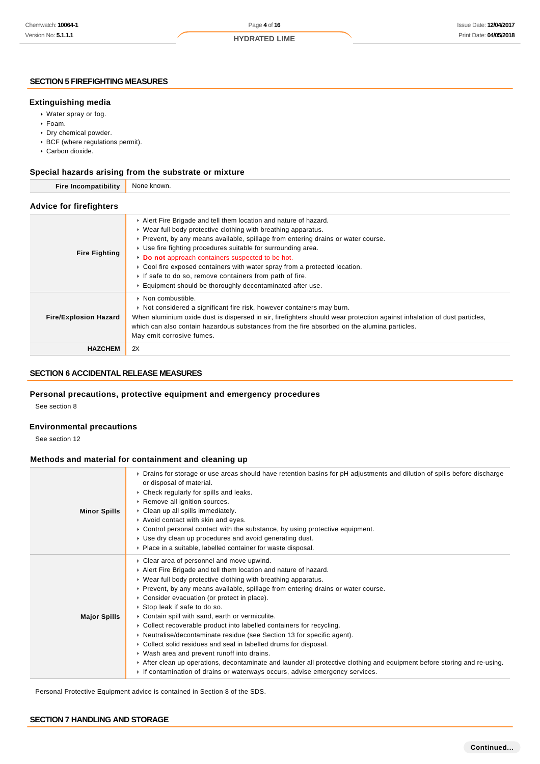### **SECTION 5 FIREFIGHTING MEASURES**

#### **Extinguishing media**

- Water spray or fog.
- Foam.
- Dry chemical powder.
- BCF (where regulations permit).
- Carbon dioxide.

# **Special hazards arising from the substrate or mixture**

| <b>Fire Incompatibility</b>    | None known.                                                                                                                                                                                                                                                                                                                                                                                                                                                                                                                                    |
|--------------------------------|------------------------------------------------------------------------------------------------------------------------------------------------------------------------------------------------------------------------------------------------------------------------------------------------------------------------------------------------------------------------------------------------------------------------------------------------------------------------------------------------------------------------------------------------|
| <b>Advice for firefighters</b> |                                                                                                                                                                                                                                                                                                                                                                                                                                                                                                                                                |
| <b>Fire Fighting</b>           | Alert Fire Brigade and tell them location and nature of hazard.<br>▶ Wear full body protective clothing with breathing apparatus.<br>► Prevent, by any means available, spillage from entering drains or water course.<br>▶ Use fire fighting procedures suitable for surrounding area.<br>Do not approach containers suspected to be hot.<br>► Cool fire exposed containers with water spray from a protected location.<br>If safe to do so, remove containers from path of fire.<br>Equipment should be thoroughly decontaminated after use. |
| <b>Fire/Explosion Hazard</b>   | $\triangleright$ Non combustible.<br>► Not considered a significant fire risk, however containers may burn.<br>When aluminium oxide dust is dispersed in air, firefighters should wear protection against inhalation of dust particles,<br>which can also contain hazardous substances from the fire absorbed on the alumina particles.<br>May emit corrosive fumes.                                                                                                                                                                           |
| <b>HAZCHEM</b>                 | 2X                                                                                                                                                                                                                                                                                                                                                                                                                                                                                                                                             |

# **SECTION 6 ACCIDENTAL RELEASE MEASURES**

# **Personal precautions, protective equipment and emergency procedures**

See section 8

#### **Environmental precautions**

See section 12

# **Methods and material for containment and cleaning up**

| <b>Minor Spills</b> | ▶ Drains for storage or use areas should have retention basins for pH adjustments and dilution of spills before discharge<br>or disposal of material.<br>• Check regularly for spills and leaks.<br>Remove all ignition sources.<br>Clean up all spills immediately.<br>Avoid contact with skin and eyes.<br>► Control personal contact with the substance, by using protective equipment.<br>► Use dry clean up procedures and avoid generating dust.<br>• Place in a suitable, labelled container for waste disposal.                                                                                                                                                                                                                                                                                                                                                                |
|---------------------|----------------------------------------------------------------------------------------------------------------------------------------------------------------------------------------------------------------------------------------------------------------------------------------------------------------------------------------------------------------------------------------------------------------------------------------------------------------------------------------------------------------------------------------------------------------------------------------------------------------------------------------------------------------------------------------------------------------------------------------------------------------------------------------------------------------------------------------------------------------------------------------|
| <b>Major Spills</b> | • Clear area of personnel and move upwind.<br>Alert Fire Brigade and tell them location and nature of hazard.<br>▶ Wear full body protective clothing with breathing apparatus.<br>► Prevent, by any means available, spillage from entering drains or water course.<br>• Consider evacuation (or protect in place).<br>Stop leak if safe to do so.<br>Contain spill with sand, earth or vermiculite.<br>• Collect recoverable product into labelled containers for recycling.<br>• Neutralise/decontaminate residue (see Section 13 for specific agent).<br>► Collect solid residues and seal in labelled drums for disposal.<br>▶ Wash area and prevent runoff into drains.<br>After clean up operations, decontaminate and launder all protective clothing and equipment before storing and re-using.<br>If contamination of drains or waterways occurs, advise emergency services. |

Personal Protective Equipment advice is contained in Section 8 of the SDS.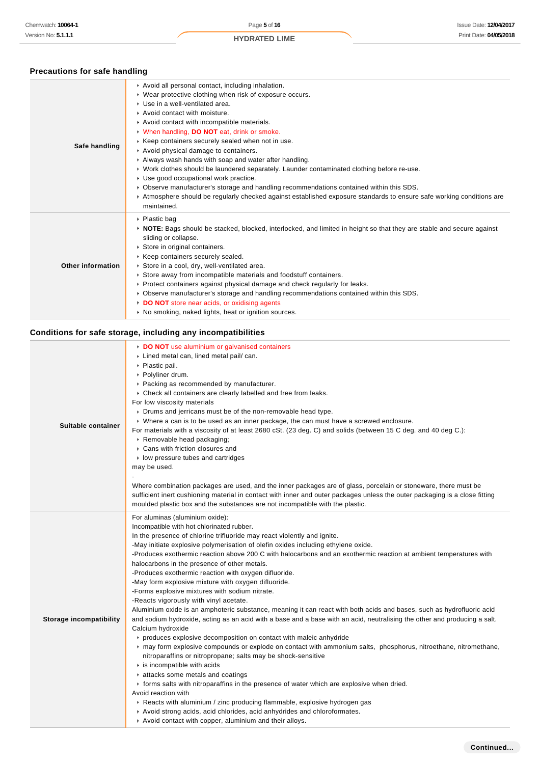# **Precautions for safe handling**

| Safe handling     | Avoid all personal contact, including inhalation.<br>▶ Wear protective clothing when risk of exposure occurs.<br>▶ Use in a well-ventilated area.<br>Avoid contact with moisture.<br>Avoid contact with incompatible materials.<br>V When handling, DO NOT eat, drink or smoke.<br>▶ Keep containers securely sealed when not in use.<br>Avoid physical damage to containers.<br>Always wash hands with soap and water after handling.<br>► Work clothes should be laundered separately. Launder contaminated clothing before re-use.<br>▶ Use good occupational work practice.<br>▶ Observe manufacturer's storage and handling recommendations contained within this SDS.<br>Atmosphere should be regularly checked against established exposure standards to ensure safe working conditions are<br>maintained. |
|-------------------|-------------------------------------------------------------------------------------------------------------------------------------------------------------------------------------------------------------------------------------------------------------------------------------------------------------------------------------------------------------------------------------------------------------------------------------------------------------------------------------------------------------------------------------------------------------------------------------------------------------------------------------------------------------------------------------------------------------------------------------------------------------------------------------------------------------------|
| Other information | ▶ Plastic bag<br>▶ NOTE: Bags should be stacked, blocked, interlocked, and limited in height so that they are stable and secure against<br>sliding or collapse.<br>Store in original containers.<br>▶ Keep containers securely sealed.<br>Store in a cool, dry, well-ventilated area.<br>Store away from incompatible materials and foodstuff containers.<br>▶ Protect containers against physical damage and check regularly for leaks.<br>▶ Observe manufacturer's storage and handling recommendations contained within this SDS.<br>DO NOT store near acids, or oxidising agents<br>• No smoking, naked lights, heat or ignition sources.                                                                                                                                                                     |

# **Conditions for safe storage, including any incompatibilities**

| Suitable container      | DO NOT use aluminium or galvanised containers<br>Lined metal can, lined metal pail/ can.<br>▶ Plastic pail.<br>▶ Polyliner drum.<br>▶ Packing as recommended by manufacturer.<br>• Check all containers are clearly labelled and free from leaks.<br>For low viscosity materials<br>• Drums and jerricans must be of the non-removable head type.<br>▶ Where a can is to be used as an inner package, the can must have a screwed enclosure.<br>For materials with a viscosity of at least 2680 cSt. (23 deg. C) and solids (between 15 C deg. and 40 deg C.):<br>Removable head packaging;<br>• Cans with friction closures and<br>• low pressure tubes and cartridges<br>may be used.<br>Where combination packages are used, and the inner packages are of glass, porcelain or stoneware, there must be<br>sufficient inert cushioning material in contact with inner and outer packages unless the outer packaging is a close fitting<br>moulded plastic box and the substances are not incompatible with the plastic.                                                                                                                                                                                                                                                                                                                                                                                                                                                                                                                                                             |
|-------------------------|----------------------------------------------------------------------------------------------------------------------------------------------------------------------------------------------------------------------------------------------------------------------------------------------------------------------------------------------------------------------------------------------------------------------------------------------------------------------------------------------------------------------------------------------------------------------------------------------------------------------------------------------------------------------------------------------------------------------------------------------------------------------------------------------------------------------------------------------------------------------------------------------------------------------------------------------------------------------------------------------------------------------------------------------------------------------------------------------------------------------------------------------------------------------------------------------------------------------------------------------------------------------------------------------------------------------------------------------------------------------------------------------------------------------------------------------------------------------------------------------------------------------------------------------------------------------------------------|
| Storage incompatibility | For aluminas (aluminium oxide):<br>Incompatible with hot chlorinated rubber.<br>In the presence of chlorine trifluoride may react violently and ignite.<br>-May initiate explosive polymerisation of olefin oxides including ethylene oxide.<br>-Produces exothermic reaction above 200 C with halocarbons and an exothermic reaction at ambient temperatures with<br>halocarbons in the presence of other metals.<br>-Produces exothermic reaction with oxygen difluoride.<br>-May form explosive mixture with oxygen difluoride.<br>-Forms explosive mixtures with sodium nitrate.<br>-Reacts vigorously with vinyl acetate.<br>Aluminium oxide is an amphoteric substance, meaning it can react with both acids and bases, such as hydrofluoric acid<br>and sodium hydroxide, acting as an acid with a base and a base with an acid, neutralising the other and producing a salt.<br>Calcium hydroxide<br>► produces explosive decomposition on contact with maleic anhydride<br>► may form explosive compounds or explode on contact with ammonium salts, phosphorus, nitroethane, nitromethane,<br>nitroparaffins or nitropropane; salts may be shock-sensitive<br>$\cdot$ is incompatible with acids<br>attacks some metals and coatings<br>• forms salts with nitroparaffins in the presence of water which are explosive when dried.<br>Avoid reaction with<br>▶ Reacts with aluminium / zinc producing flammable, explosive hydrogen gas<br>Avoid strong acids, acid chlorides, acid anhydrides and chloroformates.<br>Avoid contact with copper, aluminium and their alloys. |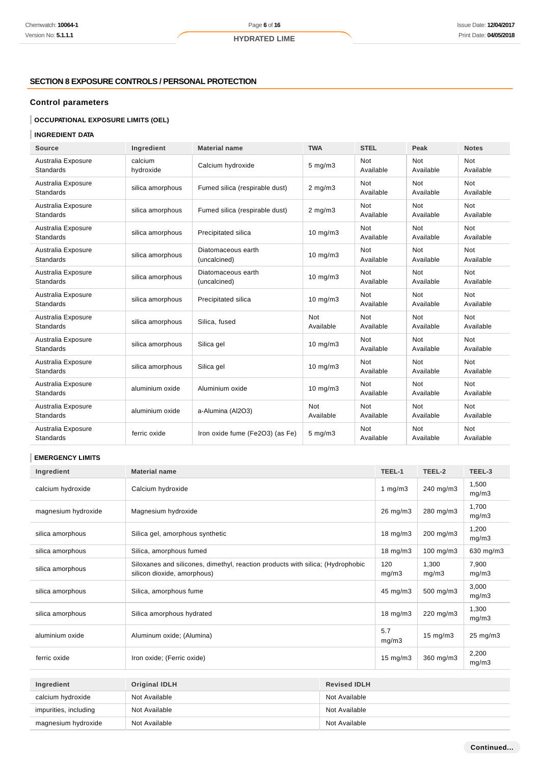# **SECTION 8 EXPOSURE CONTROLS / PERSONAL PROTECTION**

# **Control parameters**

# **OCCUPATIONAL EXPOSURE LIMITS (OEL)**

# **INGREDIENT DATA**

| <b>Source</b>                          | Ingredient           | <b>Material name</b>               | <b>TWA</b>              | <b>STEL</b>             | Peak                    | <b>Notes</b>            |
|----------------------------------------|----------------------|------------------------------------|-------------------------|-------------------------|-------------------------|-------------------------|
| Australia Exposure<br><b>Standards</b> | calcium<br>hydroxide | Calcium hydroxide                  | $5 \text{ mg/m}$ 3      | Not<br>Available        | Not<br>Available        | Not<br>Available        |
| Australia Exposure<br><b>Standards</b> | silica amorphous     | Fumed silica (respirable dust)     | $2$ mg/m $3$            | Not<br>Available        | Not<br>Available        | Not<br>Available        |
| Australia Exposure<br><b>Standards</b> | silica amorphous     | Fumed silica (respirable dust)     | $2 \text{ mg/m}$        | Not<br>Available        | Not<br>Available        | Not<br>Available        |
| Australia Exposure<br><b>Standards</b> | silica amorphous     | Precipitated silica                | $10$ mg/m $3$           | <b>Not</b><br>Available | Not<br>Available        | Not<br>Available        |
| Australia Exposure<br><b>Standards</b> | silica amorphous     | Diatomaceous earth<br>(uncalcined) | $10$ mg/m $3$           | <b>Not</b><br>Available | Not<br>Available        | <b>Not</b><br>Available |
| Australia Exposure<br><b>Standards</b> | silica amorphous     | Diatomaceous earth<br>(uncalcined) | $10$ mg/m $3$           | <b>Not</b><br>Available | <b>Not</b><br>Available | <b>Not</b><br>Available |
| Australia Exposure<br><b>Standards</b> | silica amorphous     | Precipitated silica                | $10$ mg/m $3$           | <b>Not</b><br>Available | Not<br>Available        | <b>Not</b><br>Available |
| Australia Exposure<br><b>Standards</b> | silica amorphous     | Silica, fused                      | <b>Not</b><br>Available | <b>Not</b><br>Available | <b>Not</b><br>Available | <b>Not</b><br>Available |
| Australia Exposure<br><b>Standards</b> | silica amorphous     | Silica gel                         | $10$ mg/m $3$           | Not<br>Available        | Not<br>Available        | Not<br>Available        |
| Australia Exposure<br><b>Standards</b> | silica amorphous     | Silica gel                         | $10 \text{ mg/m}$       | <b>Not</b><br>Available | Not<br>Available        | <b>Not</b><br>Available |
| Australia Exposure<br><b>Standards</b> | aluminium oxide      | Aluminium oxide                    | $10$ mg/m $3$           | <b>Not</b><br>Available | Not<br>Available        | <b>Not</b><br>Available |
| Australia Exposure<br><b>Standards</b> | aluminium oxide      | a-Alumina (Al2O3)                  | <b>Not</b><br>Available | Not<br>Available        | Not<br>Available        | Not<br>Available        |
| Australia Exposure<br><b>Standards</b> | ferric oxide         | Iron oxide fume (Fe2O3) (as Fe)    | $5$ mg/m $3$            | <b>Not</b><br>Available | Not<br>Available        | <b>Not</b><br>Available |

### **EMERGENCY LIMITS**

| Ingredient            | <b>Material name</b>                                                                                          |  |                   | TEEL-2            | TEEL-3         |
|-----------------------|---------------------------------------------------------------------------------------------------------------|--|-------------------|-------------------|----------------|
| calcium hydroxide     | Calcium hydroxide                                                                                             |  | 1 $mg/m3$         | 240 mg/m3         | 1,500<br>mg/m3 |
| magnesium hydroxide   | Magnesium hydroxide                                                                                           |  | 26 mg/m3          | 280 mg/m3         | 1,700<br>mg/m3 |
| silica amorphous      | Silica gel, amorphous synthetic                                                                               |  | $18 \text{ mg/m}$ | 200 mg/m3         | 1,200<br>mq/m3 |
| silica amorphous      | Silica, amorphous fumed                                                                                       |  | $18 \text{ mg/m}$ | $100$ mg/m $3$    | 630 mg/m3      |
| silica amorphous      | Siloxanes and silicones, dimethyl, reaction products with silica; (Hydrophobic<br>silicon dioxide, amorphous) |  | 120<br>mg/m3      | 1,300<br>mg/m3    | 7,900<br>mg/m3 |
| silica amorphous      | Silica, amorphous fume                                                                                        |  | 45 mg/m3          | 500 mg/m3         | 3,000<br>mg/m3 |
| silica amorphous      | Silica amorphous hydrated                                                                                     |  | $18 \text{ mg/m}$ | 220 mg/m3         | 1.300<br>mg/m3 |
| aluminium oxide       | Aluminum oxide; (Alumina)                                                                                     |  | 5.7<br>mg/m3      | $15 \text{ mg/m}$ | 25 mg/m3       |
| ferric oxide          | Iron oxide; (Ferric oxide)                                                                                    |  | $15 \text{ mg/m}$ | 360 mg/m3         | 2,200<br>mg/m3 |
|                       |                                                                                                               |  |                   |                   |                |
| Ingredient            | <b>Original IDLH</b><br><b>Revised IDLH</b>                                                                   |  |                   |                   |                |
| calcium hydroxide     | Not Available<br>Not Available                                                                                |  |                   |                   |                |
| impurities, including | Not Available<br>Not Available                                                                                |  |                   |                   |                |

magnesium hydroxide Not Available Not Available Not Available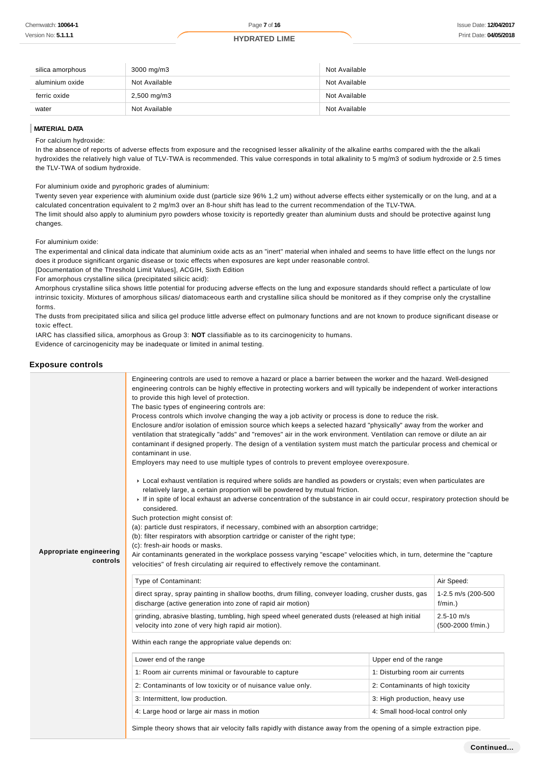| silica amorphous | 3000 mg/m3       | Not Available |
|------------------|------------------|---------------|
| aluminium oxide  | Not Available    | Not Available |
| ferric oxide     | $2,500$ mg/m $3$ | Not Available |
| water            | Not Available    | Not Available |

#### **MATERIAL DATA**

For calcium hydroxide:

In the absence of reports of adverse effects from exposure and the recognised lesser alkalinity of the alkaline earths compared with the the alkali hydroxides the relatively high value of TLV-TWA is recommended. This value corresponds in total alkalinity to 5 mg/m3 of sodium hydroxide or 2.5 times the TLV-TWA of sodium hydroxide.

For aluminium oxide and pyrophoric grades of aluminium:

Twenty seven year experience with aluminium oxide dust (particle size 96% 1,2 um) without adverse effects either systemically or on the lung, and at a calculated concentration equivalent to 2 mg/m3 over an 8-hour shift has lead to the current recommendation of the TLV-TWA. The limit should also apply to aluminium pyro powders whose toxicity is reportedly greater than aluminium dusts and should be protective against lung

changes.

For aluminium oxide:

The experimental and clinical data indicate that aluminium oxide acts as an "inert" material when inhaled and seems to have little effect on the lungs nor does it produce significant organic disease or toxic effects when exposures are kept under reasonable control.

[Documentation of the Threshold Limit Values], ACGIH, Sixth Edition

For amorphous crystalline silica (precipitated silicic acid):

Amorphous crystalline silica shows little potential for producing adverse effects on the lung and exposure standards should reflect a particulate of low intrinsic toxicity. Mixtures of amorphous silicas/ diatomaceous earth and crystalline silica should be monitored as if they comprise only the crystalline forms.

The dusts from precipitated silica and silica gel produce little adverse effect on pulmonary functions and are not known to produce significant disease or toxic effect.

IARC has classified silica, amorphous as Group 3: **NOT** classifiable as to its carcinogenicity to humans.

Evidence of carcinogenicity may be inadequate or limited in animal testing.

#### **Exposure controls**

|                         | Engineering controls are used to remove a hazard or place a barrier between the worker and the hazard. Well-designed                                                                                                                                                                                                                                                                                                                                                                                                                                                                                                                                                                                                                                                                                                                                                                                                                                                                                                                                                                                                                                                                                                                                                                                                                                                                                                                                                                                                                                            |                                  |                                     |  |
|-------------------------|-----------------------------------------------------------------------------------------------------------------------------------------------------------------------------------------------------------------------------------------------------------------------------------------------------------------------------------------------------------------------------------------------------------------------------------------------------------------------------------------------------------------------------------------------------------------------------------------------------------------------------------------------------------------------------------------------------------------------------------------------------------------------------------------------------------------------------------------------------------------------------------------------------------------------------------------------------------------------------------------------------------------------------------------------------------------------------------------------------------------------------------------------------------------------------------------------------------------------------------------------------------------------------------------------------------------------------------------------------------------------------------------------------------------------------------------------------------------------------------------------------------------------------------------------------------------|----------------------------------|-------------------------------------|--|
| Appropriate engineering | engineering controls can be highly effective in protecting workers and will typically be independent of worker interactions<br>to provide this high level of protection.<br>The basic types of engineering controls are:<br>Process controls which involve changing the way a job activity or process is done to reduce the risk.<br>Enclosure and/or isolation of emission source which keeps a selected hazard "physically" away from the worker and<br>ventilation that strategically "adds" and "removes" air in the work environment. Ventilation can remove or dilute an air<br>contaminant if designed properly. The design of a ventilation system must match the particular process and chemical or<br>contaminant in use.<br>Employers may need to use multiple types of controls to prevent employee overexposure.<br>► Local exhaust ventilation is required where solids are handled as powders or crystals; even when particulates are<br>relatively large, a certain proportion will be powdered by mutual friction.<br>If in spite of local exhaust an adverse concentration of the substance in air could occur, respiratory protection should be<br>considered.<br>Such protection might consist of:<br>(a): particle dust respirators, if necessary, combined with an absorption cartridge;<br>(b): filter respirators with absorption cartridge or canister of the right type;<br>(c): fresh-air hoods or masks.<br>Air contaminants generated in the workplace possess varying "escape" velocities which, in turn, determine the "capture" |                                  |                                     |  |
| controls                | velocities" of fresh circulating air required to effectively remove the contaminant.                                                                                                                                                                                                                                                                                                                                                                                                                                                                                                                                                                                                                                                                                                                                                                                                                                                                                                                                                                                                                                                                                                                                                                                                                                                                                                                                                                                                                                                                            |                                  |                                     |  |
|                         | Type of Contaminant:                                                                                                                                                                                                                                                                                                                                                                                                                                                                                                                                                                                                                                                                                                                                                                                                                                                                                                                                                                                                                                                                                                                                                                                                                                                                                                                                                                                                                                                                                                                                            |                                  | Air Speed:                          |  |
|                         | direct spray, spray painting in shallow booths, drum filling, conveyer loading, crusher dusts, gas<br>discharge (active generation into zone of rapid air motion)                                                                                                                                                                                                                                                                                                                                                                                                                                                                                                                                                                                                                                                                                                                                                                                                                                                                                                                                                                                                                                                                                                                                                                                                                                                                                                                                                                                               |                                  | 1-2.5 m/s (200-500<br>$f/min.$ )    |  |
|                         | grinding, abrasive blasting, tumbling, high speed wheel generated dusts (released at high initial<br>velocity into zone of very high rapid air motion).                                                                                                                                                                                                                                                                                                                                                                                                                                                                                                                                                                                                                                                                                                                                                                                                                                                                                                                                                                                                                                                                                                                                                                                                                                                                                                                                                                                                         |                                  | $2.5 - 10$ m/s<br>(500-2000 f/min.) |  |
|                         | Within each range the appropriate value depends on:                                                                                                                                                                                                                                                                                                                                                                                                                                                                                                                                                                                                                                                                                                                                                                                                                                                                                                                                                                                                                                                                                                                                                                                                                                                                                                                                                                                                                                                                                                             |                                  |                                     |  |
|                         | Lower end of the range                                                                                                                                                                                                                                                                                                                                                                                                                                                                                                                                                                                                                                                                                                                                                                                                                                                                                                                                                                                                                                                                                                                                                                                                                                                                                                                                                                                                                                                                                                                                          | Upper end of the range           |                                     |  |
|                         | 1: Room air currents minimal or favourable to capture                                                                                                                                                                                                                                                                                                                                                                                                                                                                                                                                                                                                                                                                                                                                                                                                                                                                                                                                                                                                                                                                                                                                                                                                                                                                                                                                                                                                                                                                                                           | 1: Disturbing room air currents  |                                     |  |
|                         | 2: Contaminants of low toxicity or of nuisance value only.                                                                                                                                                                                                                                                                                                                                                                                                                                                                                                                                                                                                                                                                                                                                                                                                                                                                                                                                                                                                                                                                                                                                                                                                                                                                                                                                                                                                                                                                                                      | 2: Contaminants of high toxicity |                                     |  |
|                         | 3: Intermittent, low production.                                                                                                                                                                                                                                                                                                                                                                                                                                                                                                                                                                                                                                                                                                                                                                                                                                                                                                                                                                                                                                                                                                                                                                                                                                                                                                                                                                                                                                                                                                                                | 3: High production, heavy use    |                                     |  |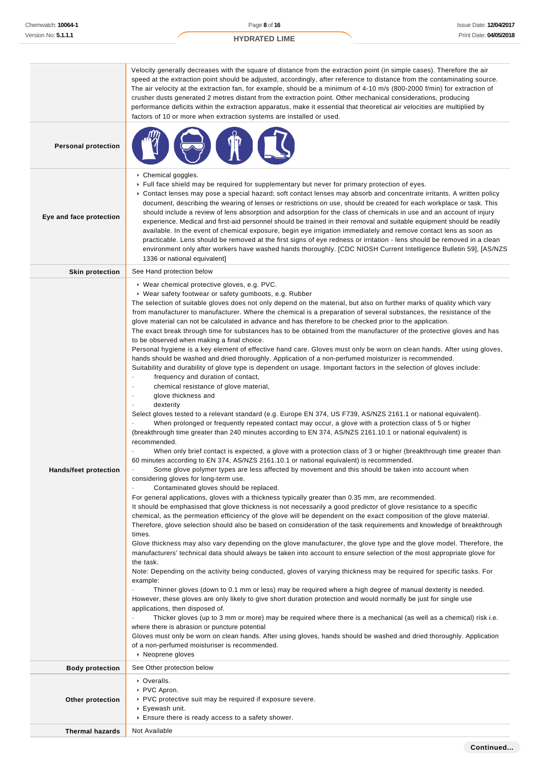|                              | Velocity generally decreases with the square of distance from the extraction point (in simple cases). Therefore the air<br>speed at the extraction point should be adjusted, accordingly, after reference to distance from the contaminating source.<br>The air velocity at the extraction fan, for example, should be a minimum of 4-10 m/s (800-2000 f/min) for extraction of<br>crusher dusts generated 2 metres distant from the extraction point. Other mechanical considerations, producing<br>performance deficits within the extraction apparatus, make it essential that theoretical air velocities are multiplied by<br>factors of 10 or more when extraction systems are installed or used.                                                                                                                                                                                                                                                                                                                                                                                                                                                                                                                                                                                                                                                                                                                                                                                                                                                                                                                                                                                                                                                                                                                                                                                                                                                                                                                                                                                                                                                                                                                                                                                                                                                                                                                                                                                                                                                                                                                                                                                                                                                                                                                                                                                                                                                                                                                                                                                                                                                                                                                                                                                                                                                                                                                                                                                                 |
|------------------------------|--------------------------------------------------------------------------------------------------------------------------------------------------------------------------------------------------------------------------------------------------------------------------------------------------------------------------------------------------------------------------------------------------------------------------------------------------------------------------------------------------------------------------------------------------------------------------------------------------------------------------------------------------------------------------------------------------------------------------------------------------------------------------------------------------------------------------------------------------------------------------------------------------------------------------------------------------------------------------------------------------------------------------------------------------------------------------------------------------------------------------------------------------------------------------------------------------------------------------------------------------------------------------------------------------------------------------------------------------------------------------------------------------------------------------------------------------------------------------------------------------------------------------------------------------------------------------------------------------------------------------------------------------------------------------------------------------------------------------------------------------------------------------------------------------------------------------------------------------------------------------------------------------------------------------------------------------------------------------------------------------------------------------------------------------------------------------------------------------------------------------------------------------------------------------------------------------------------------------------------------------------------------------------------------------------------------------------------------------------------------------------------------------------------------------------------------------------------------------------------------------------------------------------------------------------------------------------------------------------------------------------------------------------------------------------------------------------------------------------------------------------------------------------------------------------------------------------------------------------------------------------------------------------------------------------------------------------------------------------------------------------------------------------------------------------------------------------------------------------------------------------------------------------------------------------------------------------------------------------------------------------------------------------------------------------------------------------------------------------------------------------------------------------------------------------------------------------------------------------------------------------|
| <b>Personal protection</b>   |                                                                                                                                                                                                                                                                                                                                                                                                                                                                                                                                                                                                                                                                                                                                                                                                                                                                                                                                                                                                                                                                                                                                                                                                                                                                                                                                                                                                                                                                                                                                                                                                                                                                                                                                                                                                                                                                                                                                                                                                                                                                                                                                                                                                                                                                                                                                                                                                                                                                                                                                                                                                                                                                                                                                                                                                                                                                                                                                                                                                                                                                                                                                                                                                                                                                                                                                                                                                                                                                                                        |
| Eye and face protection      | Chemical goggles.<br>Full face shield may be required for supplementary but never for primary protection of eyes.<br>▶ Contact lenses may pose a special hazard; soft contact lenses may absorb and concentrate irritants. A written policy<br>document, describing the wearing of lenses or restrictions on use, should be created for each workplace or task. This<br>should include a review of lens absorption and adsorption for the class of chemicals in use and an account of injury<br>experience. Medical and first-aid personnel should be trained in their removal and suitable equipment should be readily<br>available. In the event of chemical exposure, begin eye irrigation immediately and remove contact lens as soon as<br>practicable. Lens should be removed at the first signs of eye redness or irritation - lens should be removed in a clean<br>environment only after workers have washed hands thoroughly. [CDC NIOSH Current Intelligence Bulletin 59], [AS/NZS<br>1336 or national equivalent]                                                                                                                                                                                                                                                                                                                                                                                                                                                                                                                                                                                                                                                                                                                                                                                                                                                                                                                                                                                                                                                                                                                                                                                                                                                                                                                                                                                                                                                                                                                                                                                                                                                                                                                                                                                                                                                                                                                                                                                                                                                                                                                                                                                                                                                                                                                                                                                                                                                                          |
| <b>Skin protection</b>       | See Hand protection below                                                                                                                                                                                                                                                                                                                                                                                                                                                                                                                                                                                                                                                                                                                                                                                                                                                                                                                                                                                                                                                                                                                                                                                                                                                                                                                                                                                                                                                                                                                                                                                                                                                                                                                                                                                                                                                                                                                                                                                                                                                                                                                                                                                                                                                                                                                                                                                                                                                                                                                                                                                                                                                                                                                                                                                                                                                                                                                                                                                                                                                                                                                                                                                                                                                                                                                                                                                                                                                                              |
| <b>Hands/feet protection</b> | ▶ Wear chemical protective gloves, e.g. PVC.<br>▶ Wear safety footwear or safety gumboots, e.g. Rubber<br>The selection of suitable gloves does not only depend on the material, but also on further marks of quality which vary<br>from manufacturer to manufacturer. Where the chemical is a preparation of several substances, the resistance of the<br>glove material can not be calculated in advance and has therefore to be checked prior to the application.<br>The exact break through time for substances has to be obtained from the manufacturer of the protective gloves and has<br>to be observed when making a final choice.<br>Personal hygiene is a key element of effective hand care. Gloves must only be worn on clean hands. After using gloves,<br>hands should be washed and dried thoroughly. Application of a non-perfumed moisturizer is recommended.<br>Suitability and durability of glove type is dependent on usage. Important factors in the selection of gloves include:<br>frequency and duration of contact,<br>chemical resistance of glove material,<br>$\blacksquare$<br>glove thickness and<br>$\cdot$<br>dexterity<br>Select gloves tested to a relevant standard (e.g. Europe EN 374, US F739, AS/NZS 2161.1 or national equivalent).<br>When prolonged or frequently repeated contact may occur, a glove with a protection class of 5 or higher<br>(breakthrough time greater than 240 minutes according to EN 374, AS/NZS 2161.10.1 or national equivalent) is<br>recommended.<br>When only brief contact is expected, a glove with a protection class of 3 or higher (breakthrough time greater than<br>60 minutes according to EN 374, AS/NZS 2161.10.1 or national equivalent) is recommended.<br>Some glove polymer types are less affected by movement and this should be taken into account when<br>considering gloves for long-term use.<br>Contaminated gloves should be replaced.<br>$\ddot{\phantom{0}}$<br>For general applications, gloves with a thickness typically greater than 0.35 mm, are recommended.<br>It should be emphasised that glove thickness is not necessarily a good predictor of glove resistance to a specific<br>chemical, as the permeation efficiency of the glove will be dependent on the exact composition of the glove material.<br>Therefore, glove selection should also be based on consideration of the task requirements and knowledge of breakthrough<br>times.<br>Glove thickness may also vary depending on the glove manufacturer, the glove type and the glove model. Therefore, the<br>manufacturers' technical data should always be taken into account to ensure selection of the most appropriate glove for<br>the task.<br>Note: Depending on the activity being conducted, gloves of varying thickness may be required for specific tasks. For<br>example:<br>Thinner gloves (down to 0.1 mm or less) may be required where a high degree of manual dexterity is needed.<br>However, these gloves are only likely to give short duration protection and would normally be just for single use<br>applications, then disposed of.<br>Thicker gloves (up to 3 mm or more) may be required where there is a mechanical (as well as a chemical) risk i.e.<br>where there is abrasion or puncture potential<br>Gloves must only be worn on clean hands. After using gloves, hands should be washed and dried thoroughly. Application<br>of a non-perfumed moisturiser is recommended.<br>▶ Neoprene gloves |
| <b>Body protection</b>       | See Other protection below                                                                                                                                                                                                                                                                                                                                                                                                                                                                                                                                                                                                                                                                                                                                                                                                                                                                                                                                                                                                                                                                                                                                                                                                                                                                                                                                                                                                                                                                                                                                                                                                                                                                                                                                                                                                                                                                                                                                                                                                                                                                                                                                                                                                                                                                                                                                                                                                                                                                                                                                                                                                                                                                                                                                                                                                                                                                                                                                                                                                                                                                                                                                                                                                                                                                                                                                                                                                                                                                             |
| Other protection             | ▶ Overalls.<br>▶ PVC Apron.<br>▶ PVC protective suit may be required if exposure severe.<br>▶ Eyewash unit.<br>Ensure there is ready access to a safety shower.                                                                                                                                                                                                                                                                                                                                                                                                                                                                                                                                                                                                                                                                                                                                                                                                                                                                                                                                                                                                                                                                                                                                                                                                                                                                                                                                                                                                                                                                                                                                                                                                                                                                                                                                                                                                                                                                                                                                                                                                                                                                                                                                                                                                                                                                                                                                                                                                                                                                                                                                                                                                                                                                                                                                                                                                                                                                                                                                                                                                                                                                                                                                                                                                                                                                                                                                        |
| <b>Thermal hazards</b>       | Not Available                                                                                                                                                                                                                                                                                                                                                                                                                                                                                                                                                                                                                                                                                                                                                                                                                                                                                                                                                                                                                                                                                                                                                                                                                                                                                                                                                                                                                                                                                                                                                                                                                                                                                                                                                                                                                                                                                                                                                                                                                                                                                                                                                                                                                                                                                                                                                                                                                                                                                                                                                                                                                                                                                                                                                                                                                                                                                                                                                                                                                                                                                                                                                                                                                                                                                                                                                                                                                                                                                          |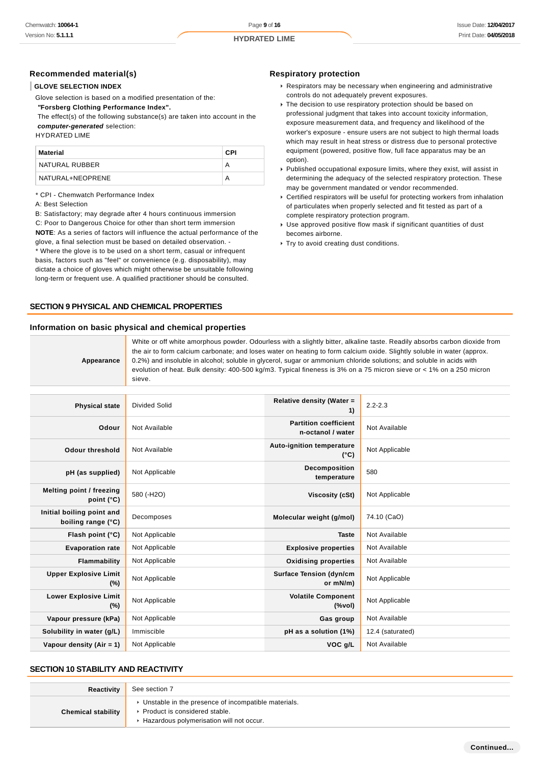## **Recommended material(s)**

### **GLOVE SELECTION INDEX**

Glove selection is based on a modified presentation of the:

 **"Forsberg Clothing Performance Index".**

 The effect(s) of the following substance(s) are taken into account in the **computer-generated** selection:

HYDRATED LIME

| Material         | CPI |
|------------------|-----|
| NATURAL RUBBER   | А   |
| NATURAL+NEOPRENE |     |

\* CPI - Chemwatch Performance Index

#### A: Best Selection

B: Satisfactory; may degrade after 4 hours continuous immersion C: Poor to Dangerous Choice for other than short term immersion **NOTE**: As a series of factors will influence the actual performance of the glove, a final selection must be based on detailed observation. - \* Where the glove is to be used on a short term, casual or infrequent basis, factors such as "feel" or convenience (e.g. disposability), may dictate a choice of gloves which might otherwise be unsuitable following long-term or frequent use. A qualified practitioner should be consulted.

## **SECTION 9 PHYSICAL AND CHEMICAL PROPERTIES**

#### **Information on basic physical and chemical properties**

#### **Respiratory protection**

- Respirators may be necessary when engineering and administrative controls do not adequately prevent exposures.
- The decision to use respiratory protection should be based on professional judgment that takes into account toxicity information, exposure measurement data, and frequency and likelihood of the worker's exposure - ensure users are not subject to high thermal loads which may result in heat stress or distress due to personal protective equipment (powered, positive flow, full face apparatus may be an option).
- Published occupational exposure limits, where they exist, will assist in determining the adequacy of the selected respiratory protection. These may be government mandated or vendor recommended.
- Certified respirators will be useful for protecting workers from inhalation of particulates when properly selected and fit tested as part of a complete respiratory protection program.
- Use approved positive flow mask if significant quantities of dust becomes airborne.
- Try to avoid creating dust conditions.

**Appearance** White or off white amorphous powder. Odourless with a slightly bitter, alkaline taste. Readily absorbs carbon dioxide from the air to form calcium carbonate; and loses water on heating to form calcium oxide. Slightly soluble in water (approx. 0.2%) and insoluble in alcohol; soluble in glycerol, sugar or ammonium chloride solutions; and soluble in acids with evolution of heat. Bulk density: 400-500 kg/m3. Typical fineness is 3% on a 75 micron sieve or < 1% on a 250 micron sieve.

| <b>Physical state</b>                           | Divided Solid  | Relative density (Water =<br>1)                   | $2.2 - 2.3$      |
|-------------------------------------------------|----------------|---------------------------------------------------|------------------|
| Odour                                           | Not Available  | <b>Partition coefficient</b><br>n-octanol / water | Not Available    |
| Odour threshold                                 | Not Available  | <b>Auto-ignition temperature</b><br>$(^{\circ}C)$ | Not Applicable   |
| pH (as supplied)                                | Not Applicable | <b>Decomposition</b><br>temperature               | 580              |
| Melting point / freezing<br>point $(^{\circ}C)$ | 580 (-H2O)     | Viscosity (cSt)                                   | Not Applicable   |
| Initial boiling point and<br>boiling range (°C) | Decomposes     | Molecular weight (g/mol)                          | 74.10 (CaO)      |
| Flash point $(°C)$                              | Not Applicable | <b>Taste</b>                                      | Not Available    |
| <b>Evaporation rate</b>                         | Not Applicable | <b>Explosive properties</b>                       | Not Available    |
| Flammability                                    | Not Applicable | <b>Oxidising properties</b>                       | Not Available    |
| <b>Upper Explosive Limit</b><br>(%)             | Not Applicable | <b>Surface Tension (dyn/cm</b><br>or mN/m)        | Not Applicable   |
| <b>Lower Explosive Limit</b><br>(%)             | Not Applicable | <b>Volatile Component</b><br>(%                   | Not Applicable   |
| Vapour pressure (kPa)                           | Not Applicable | Gas group                                         | Not Available    |
| Solubility in water (g/L)                       | Immiscible     | pH as a solution (1%)                             | 12.4 (saturated) |
| Vapour density $(Air = 1)$                      | Not Applicable | VOC g/L                                           | Not Available    |

### **SECTION 10 STABILITY AND REACTIVITY**

| Reactivity                | See section 7                                                                                                                      |
|---------------------------|------------------------------------------------------------------------------------------------------------------------------------|
| <b>Chemical stability</b> | Unstable in the presence of incompatible materials.<br>▶ Product is considered stable.<br>Hazardous polymerisation will not occur. |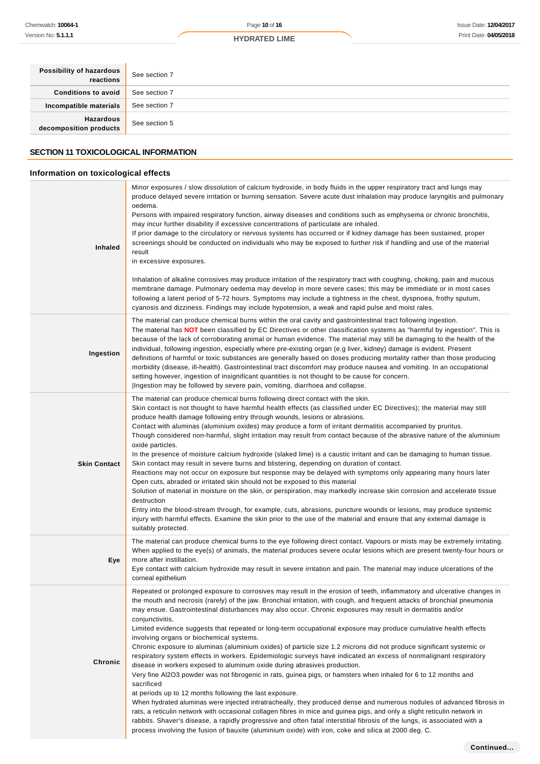| Possibility of hazardous<br>reactions      | See section 7 |
|--------------------------------------------|---------------|
| Conditions to avoid                        | See section 7 |
| Incompatible materials                     | See section 7 |
| <b>Hazardous</b><br>decomposition products | See section 5 |

# **SECTION 11 TOXICOLOGICAL INFORMATION**

# **Information on toxicological effects**

| Inhaled             | Minor exposures / slow dissolution of calcium hydroxide, in body fluids in the upper respiratory tract and lungs may<br>produce delayed severe irritation or burning sensation. Severe acute dust inhalation may produce laryngitis and pulmonary<br>oedema.<br>Persons with impaired respiratory function, airway diseases and conditions such as emphysema or chronic bronchitis,<br>may incur further disability if excessive concentrations of particulate are inhaled.<br>If prior damage to the circulatory or nervous systems has occurred or if kidney damage has been sustained, proper<br>screenings should be conducted on individuals who may be exposed to further risk if handling and use of the material<br>result<br>in excessive exposures.<br>Inhalation of alkaline corrosives may produce irritation of the respiratory tract with coughing, choking, pain and mucous<br>membrane damage. Pulmonary oedema may develop in more severe cases; this may be immediate or in most cases<br>following a latent period of 5-72 hours. Symptoms may include a tightness in the chest, dyspnoea, frothy sputum,<br>cyanosis and dizziness. Findings may include hypotension, a weak and rapid pulse and moist rales.                                                                                                                                                                                                                                                                                                                                       |
|---------------------|-------------------------------------------------------------------------------------------------------------------------------------------------------------------------------------------------------------------------------------------------------------------------------------------------------------------------------------------------------------------------------------------------------------------------------------------------------------------------------------------------------------------------------------------------------------------------------------------------------------------------------------------------------------------------------------------------------------------------------------------------------------------------------------------------------------------------------------------------------------------------------------------------------------------------------------------------------------------------------------------------------------------------------------------------------------------------------------------------------------------------------------------------------------------------------------------------------------------------------------------------------------------------------------------------------------------------------------------------------------------------------------------------------------------------------------------------------------------------------------------------------------------------------------------------------------------------|
| Ingestion           | The material can produce chemical burns within the oral cavity and gastrointestinal tract following ingestion.<br>The material has NOT been classified by EC Directives or other classification systems as "harmful by ingestion". This is<br>because of the lack of corroborating animal or human evidence. The material may still be damaging to the health of the<br>individual, following ingestion, especially where pre-existing organ (e.g liver, kidney) damage is evident. Present<br>definitions of harmful or toxic substances are generally based on doses producing mortality rather than those producing<br>morbidity (disease, ill-health). Gastrointestinal tract discomfort may produce nausea and vomiting. In an occupational<br>setting however, ingestion of insignificant quantities is not thought to be cause for concern.<br>Ingestion may be followed by severe pain, vomiting, diarrhoea and collapse.                                                                                                                                                                                                                                                                                                                                                                                                                                                                                                                                                                                                                                       |
| <b>Skin Contact</b> | The material can produce chemical burns following direct contact with the skin.<br>Skin contact is not thought to have harmful health effects (as classified under EC Directives); the material may still<br>produce health damage following entry through wounds, lesions or abrasions.<br>Contact with aluminas (aluminium oxides) may produce a form of irritant dermatitis accompanied by pruritus.<br>Though considered non-harmful, slight irritation may result from contact because of the abrasive nature of the aluminium<br>oxide particles.<br>In the presence of moisture calcium hydroxide (slaked lime) is a caustic irritant and can be damaging to human tissue.<br>Skin contact may result in severe burns and blistering, depending on duration of contact.<br>Reactions may not occur on exposure but response may be delayed with symptoms only appearing many hours later<br>Open cuts, abraded or irritated skin should not be exposed to this material<br>Solution of material in moisture on the skin, or perspiration, may markedly increase skin corrosion and accelerate tissue<br>destruction<br>Entry into the blood-stream through, for example, cuts, abrasions, puncture wounds or lesions, may produce systemic<br>injury with harmful effects. Examine the skin prior to the use of the material and ensure that any external damage is<br>suitably protected.                                                                                                                                                                       |
| Eye                 | The material can produce chemical burns to the eye following direct contact. Vapours or mists may be extremely irritating.<br>When applied to the eye(s) of animals, the material produces severe ocular lesions which are present twenty-four hours or<br>more after instillation.<br>Eye contact with calcium hydroxide may result in severe irritation and pain. The material may induce ulcerations of the<br>corneal epithelium                                                                                                                                                                                                                                                                                                                                                                                                                                                                                                                                                                                                                                                                                                                                                                                                                                                                                                                                                                                                                                                                                                                                    |
| Chronic             | Repeated or prolonged exposure to corrosives may result in the erosion of teeth, inflammatory and ulcerative changes in<br>the mouth and necrosis (rarely) of the jaw. Bronchial irritation, with cough, and frequent attacks of bronchial pneumonia<br>may ensue. Gastrointestinal disturbances may also occur. Chronic exposures may result in dermatitis and/or<br>conjunctivitis.<br>Limited evidence suggests that repeated or long-term occupational exposure may produce cumulative health effects<br>involving organs or biochemical systems.<br>Chronic exposure to aluminas (aluminium oxides) of particle size 1.2 microns did not produce significant systemic or<br>respiratory system effects in workers. Epidemiologic surveys have indicated an excess of nonmalignant respiratory<br>disease in workers exposed to aluminum oxide during abrasives production.<br>Very fine AI2O3 powder was not fibrogenic in rats, guinea pigs, or hamsters when inhaled for 6 to 12 months and<br>sacrificed<br>at periods up to 12 months following the last exposure.<br>When hydrated aluminas were injected intratracheally, they produced dense and numerous nodules of advanced fibrosis in<br>rats, a reticulin network with occasional collagen fibres in mice and guinea pigs, and only a slight reticulin network in<br>rabbits. Shaver's disease, a rapidly progressive and often fatal interstitial fibrosis of the lungs, is associated with a<br>process involving the fusion of bauxite (aluminium oxide) with iron, coke and silica at 2000 deg. C. |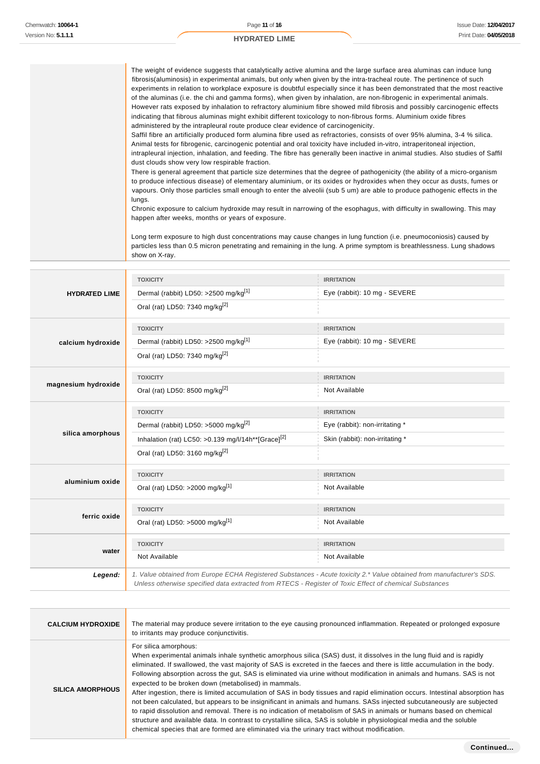|                      | administered by the intrapleural route produce clear evidence of carcinogenicity.<br>dust clouds show very low respirable fraction.<br>lungs.<br>happen after weeks, months or years of exposure.<br>show on X-ray. | The weight of evidence suggests that catalytically active alumina and the large surface area aluminas can induce lung<br>fibrosis(aluminosis) in experimental animals, but only when given by the intra-tracheal route. The pertinence of such<br>experiments in relation to workplace exposure is doubtful especially since it has been demonstrated that the most reactive<br>of the aluminas (i.e. the chi and gamma forms), when given by inhalation, are non-fibrogenic in experimental animals.<br>However rats exposed by inhalation to refractory aluminium fibre showed mild fibrosis and possibly carcinogenic effects<br>indicating that fibrous aluminas might exhibit different toxicology to non-fibrous forms. Aluminium oxide fibres<br>Saffil fibre an artificially produced form alumina fibre used as refractories, consists of over 95% alumina, 3-4 % silica.<br>Animal tests for fibrogenic, carcinogenic potential and oral toxicity have included in-vitro, intraperitoneal injection,<br>intrapleural injection, inhalation, and feeding. The fibre has generally been inactive in animal studies. Also studies of Saffil<br>There is general agreement that particle size determines that the degree of pathogenicity (the ability of a micro-organism<br>to produce infectious disease) of elementary aluminium, or its oxides or hydroxides when they occur as dusts, fumes or<br>vapours. Only those particles small enough to enter the alveolii (sub 5 um) are able to produce pathogenic effects in the<br>Chronic exposure to calcium hydroxide may result in narrowing of the esophagus, with difficulty in swallowing. This may<br>Long term exposure to high dust concentrations may cause changes in lung function (i.e. pneumoconiosis) caused by<br>particles less than 0.5 micron penetrating and remaining in the lung. A prime symptom is breathlessness. Lung shadows |
|----------------------|---------------------------------------------------------------------------------------------------------------------------------------------------------------------------------------------------------------------|------------------------------------------------------------------------------------------------------------------------------------------------------------------------------------------------------------------------------------------------------------------------------------------------------------------------------------------------------------------------------------------------------------------------------------------------------------------------------------------------------------------------------------------------------------------------------------------------------------------------------------------------------------------------------------------------------------------------------------------------------------------------------------------------------------------------------------------------------------------------------------------------------------------------------------------------------------------------------------------------------------------------------------------------------------------------------------------------------------------------------------------------------------------------------------------------------------------------------------------------------------------------------------------------------------------------------------------------------------------------------------------------------------------------------------------------------------------------------------------------------------------------------------------------------------------------------------------------------------------------------------------------------------------------------------------------------------------------------------------------------------------------------------------------------------------------------------------------------------------------------------------------------------------|
|                      |                                                                                                                                                                                                                     |                                                                                                                                                                                                                                                                                                                                                                                                                                                                                                                                                                                                                                                                                                                                                                                                                                                                                                                                                                                                                                                                                                                                                                                                                                                                                                                                                                                                                                                                                                                                                                                                                                                                                                                                                                                                                                                                                                                  |
|                      | <b>TOXICITY</b>                                                                                                                                                                                                     | <b>IRRITATION</b>                                                                                                                                                                                                                                                                                                                                                                                                                                                                                                                                                                                                                                                                                                                                                                                                                                                                                                                                                                                                                                                                                                                                                                                                                                                                                                                                                                                                                                                                                                                                                                                                                                                                                                                                                                                                                                                                                                |
| <b>HYDRATED LIME</b> | Dermal (rabbit) LD50: >2500 mg/kg <sup>[1]</sup>                                                                                                                                                                    | Eye (rabbit): 10 mg - SEVERE                                                                                                                                                                                                                                                                                                                                                                                                                                                                                                                                                                                                                                                                                                                                                                                                                                                                                                                                                                                                                                                                                                                                                                                                                                                                                                                                                                                                                                                                                                                                                                                                                                                                                                                                                                                                                                                                                     |

| <b>HYDRATED LIME</b> | Dermal (rabbit) LD50: >2500 mg/kg <sup>[1]</sup>                                                       | Eye (rabbit): 10 mg - SEVERE                                                                                          |
|----------------------|--------------------------------------------------------------------------------------------------------|-----------------------------------------------------------------------------------------------------------------------|
|                      | Oral (rat) LD50: 7340 mg/kg <sup>[2]</sup>                                                             |                                                                                                                       |
|                      | <b>TOXICITY</b>                                                                                        | <b>IRRITATION</b>                                                                                                     |
| calcium hydroxide    | Dermal (rabbit) LD50: >2500 mg/kg <sup>[1]</sup>                                                       | Eye (rabbit): 10 mg - SEVERE                                                                                          |
|                      | Oral (rat) LD50: 7340 mg/kg <sup>[2]</sup>                                                             |                                                                                                                       |
|                      | <b>TOXICITY</b>                                                                                        | <b>IRRITATION</b>                                                                                                     |
| magnesium hydroxide  | Oral (rat) LD50: 8500 mg/kg <sup>[2]</sup>                                                             | Not Available                                                                                                         |
|                      | <b>TOXICITY</b>                                                                                        | <b>IRRITATION</b>                                                                                                     |
|                      | Dermal (rabbit) LD50: >5000 mg/kg <sup>[2]</sup>                                                       | Eye (rabbit): non-irritating *                                                                                        |
| silica amorphous     | Inhalation (rat) LC50: > 0.139 mg/l/14h**[Grace] <sup>[2]</sup>                                        | Skin (rabbit): non-irritating *                                                                                       |
|                      | Oral (rat) LD50: 3160 mg/kg <sup>[2]</sup>                                                             |                                                                                                                       |
|                      | <b>TOXICITY</b>                                                                                        | <b>IRRITATION</b>                                                                                                     |
| aluminium oxide      | Oral (rat) LD50: >2000 mg/kg[1]                                                                        | Not Available                                                                                                         |
|                      | <b>TOXICITY</b>                                                                                        | <b>IRRITATION</b>                                                                                                     |
| ferric oxide         | Oral (rat) LD50: >5000 mg/kg <sup>[1]</sup>                                                            | Not Available                                                                                                         |
|                      | <b>TOXICITY</b>                                                                                        | <b>IRRITATION</b>                                                                                                     |
| water                | Not Available                                                                                          | Not Available                                                                                                         |
| Legend:              | Unless otherwise specified data extracted from RTECS - Register of Toxic Effect of chemical Substances | 1. Value obtained from Europe ECHA Registered Substances - Acute toxicity 2.* Value obtained from manufacturer's SDS. |

| <b>CALCIUM HYDROXIDE</b> | The material may produce severe irritation to the eye causing pronounced inflammation. Repeated or prolonged exposure<br>to irritants may produce conjunctivitis.                                                                                                                                                                                                                                                                                                                                                                                                                                                                                                                                                                                                                                                                                                                                                                                                                                                                                                           |
|--------------------------|-----------------------------------------------------------------------------------------------------------------------------------------------------------------------------------------------------------------------------------------------------------------------------------------------------------------------------------------------------------------------------------------------------------------------------------------------------------------------------------------------------------------------------------------------------------------------------------------------------------------------------------------------------------------------------------------------------------------------------------------------------------------------------------------------------------------------------------------------------------------------------------------------------------------------------------------------------------------------------------------------------------------------------------------------------------------------------|
| <b>SILICA AMORPHOUS</b>  | For silica amorphous:<br>When experimental animals inhale synthetic amorphous silica (SAS) dust, it dissolves in the lung fluid and is rapidly<br>eliminated. If swallowed, the vast majority of SAS is excreted in the faeces and there is little accumulation in the body.<br>Following absorption across the gut, SAS is eliminated via urine without modification in animals and humans. SAS is not<br>expected to be broken down (metabolised) in mammals.<br>After ingestion, there is limited accumulation of SAS in body tissues and rapid elimination occurs. Intestinal absorption has<br>not been calculated, but appears to be insignificant in animals and humans. SASs injected subcutaneously are subjected<br>to rapid dissolution and removal. There is no indication of metabolism of SAS in animals or humans based on chemical<br>structure and available data. In contrast to crystalline silica, SAS is soluble in physiological media and the soluble<br>chemical species that are formed are eliminated via the urinary tract without modification. |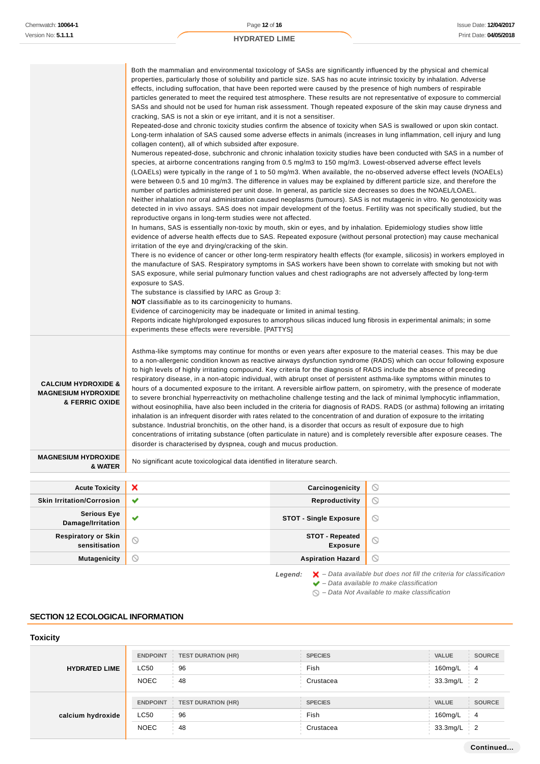|                                                                                           | Both the mammalian and environmental toxicology of SASs are significantly influenced by the physical and chemical<br>properties, particularly those of solubility and particle size. SAS has no acute intrinsic toxicity by inhalation. Adverse<br>effects, including suffocation, that have been reported were caused by the presence of high numbers of respirable<br>particles generated to meet the required test atmosphere. These results are not representative of exposure to commercial<br>SASs and should not be used for human risk assessment. Though repeated exposure of the skin may cause dryness and<br>cracking, SAS is not a skin or eye irritant, and it is not a sensitiser.<br>Repeated-dose and chronic toxicity studies confirm the absence of toxicity when SAS is swallowed or upon skin contact.<br>Long-term inhalation of SAS caused some adverse effects in animals (increases in lung inflammation, cell injury and lung<br>collagen content), all of which subsided after exposure.<br>Numerous repeated-dose, subchronic and chronic inhalation toxicity studies have been conducted with SAS in a number of<br>species, at airborne concentrations ranging from 0.5 mg/m3 to 150 mg/m3. Lowest-observed adverse effect levels<br>(LOAELs) were typically in the range of 1 to 50 mg/m3. When available, the no-observed adverse effect levels (NOAELs)<br>were between 0.5 and 10 mg/m3. The difference in values may be explained by different particle size, and therefore the<br>number of particles administered per unit dose. In general, as particle size decreases so does the NOAEL/LOAEL.<br>Neither inhalation nor oral administration caused neoplasms (tumours). SAS is not mutagenic in vitro. No genotoxicity was<br>detected in in vivo assays. SAS does not impair development of the foetus. Fertility was not specifically studied, but the<br>reproductive organs in long-term studies were not affected.<br>In humans, SAS is essentially non-toxic by mouth, skin or eyes, and by inhalation. Epidemiology studies show little<br>evidence of adverse health effects due to SAS. Repeated exposure (without personal protection) may cause mechanical<br>irritation of the eye and drying/cracking of the skin.<br>the manufacture of SAS. Respiratory symptoms in SAS workers have been shown to correlate with smoking but not with<br>SAS exposure, while serial pulmonary function values and chest radiographs are not adversely affected by long-term<br>exposure to SAS.<br>The substance is classified by IARC as Group 3:<br><b>NOT</b> classifiable as to its carcinogenicity to humans.<br>Evidence of carcinogenicity may be inadequate or limited in animal testing.<br>Reports indicate high/prolonged exposures to amorphous silicas induced lung fibrosis in experimental animals; in some<br>experiments these effects were reversible. [PATTYS] |                                           | There is no evidence of cancer or other long-term respiratory health effects (for example, silicosis) in workers employed in |
|-------------------------------------------------------------------------------------------|---------------------------------------------------------------------------------------------------------------------------------------------------------------------------------------------------------------------------------------------------------------------------------------------------------------------------------------------------------------------------------------------------------------------------------------------------------------------------------------------------------------------------------------------------------------------------------------------------------------------------------------------------------------------------------------------------------------------------------------------------------------------------------------------------------------------------------------------------------------------------------------------------------------------------------------------------------------------------------------------------------------------------------------------------------------------------------------------------------------------------------------------------------------------------------------------------------------------------------------------------------------------------------------------------------------------------------------------------------------------------------------------------------------------------------------------------------------------------------------------------------------------------------------------------------------------------------------------------------------------------------------------------------------------------------------------------------------------------------------------------------------------------------------------------------------------------------------------------------------------------------------------------------------------------------------------------------------------------------------------------------------------------------------------------------------------------------------------------------------------------------------------------------------------------------------------------------------------------------------------------------------------------------------------------------------------------------------------------------------------------------------------------------------------------------------------------------------------------------------------------------------------------------------------------------------------------------------------------------------------------------------------------------------------------------------------------------------------------------------------------------------------------------------------------------------------------------------------------------------------------------------------------------------------------|-------------------------------------------|------------------------------------------------------------------------------------------------------------------------------|
| <b>CALCIUM HYDROXIDE &amp;</b><br><b>MAGNESIUM HYDROXIDE</b><br><b>&amp; FERRIC OXIDE</b> | Asthma-like symptoms may continue for months or even years after exposure to the material ceases. This may be due<br>to a non-allergenic condition known as reactive airways dysfunction syndrome (RADS) which can occur following exposure<br>to high levels of highly irritating compound. Key criteria for the diagnosis of RADS include the absence of preceding<br>respiratory disease, in a non-atopic individual, with abrupt onset of persistent asthma-like symptoms within minutes to<br>hours of a documented exposure to the irritant. A reversible airflow pattern, on spirometry, with the presence of moderate<br>to severe bronchial hyperreactivity on methacholine challenge testing and the lack of minimal lymphocytic inflammation,<br>without eosinophilia, have also been included in the criteria for diagnosis of RADS. RADS (or asthma) following an irritating<br>inhalation is an infrequent disorder with rates related to the concentration of and duration of exposure to the irritating<br>substance. Industrial bronchitis, on the other hand, is a disorder that occurs as result of exposure due to high<br>concentrations of irritating substance (often particulate in nature) and is completely reversible after exposure ceases. The<br>disorder is characterised by dyspnea, cough and mucus production.                                                                                                                                                                                                                                                                                                                                                                                                                                                                                                                                                                                                                                                                                                                                                                                                                                                                                                                                                                                                                                                                                                                                                                                                                                                                                                                                                                                                                                                                                                                                                                          |                                           |                                                                                                                              |
| <b>MAGNESIUM HYDROXIDE</b><br>& WATER                                                     | No significant acute toxicological data identified in literature search.                                                                                                                                                                                                                                                                                                                                                                                                                                                                                                                                                                                                                                                                                                                                                                                                                                                                                                                                                                                                                                                                                                                                                                                                                                                                                                                                                                                                                                                                                                                                                                                                                                                                                                                                                                                                                                                                                                                                                                                                                                                                                                                                                                                                                                                                                                                                                                                                                                                                                                                                                                                                                                                                                                                                                                                                                                                  |                                           |                                                                                                                              |
| <b>Acute Toxicity</b>                                                                     | ×                                                                                                                                                                                                                                                                                                                                                                                                                                                                                                                                                                                                                                                                                                                                                                                                                                                                                                                                                                                                                                                                                                                                                                                                                                                                                                                                                                                                                                                                                                                                                                                                                                                                                                                                                                                                                                                                                                                                                                                                                                                                                                                                                                                                                                                                                                                                                                                                                                                                                                                                                                                                                                                                                                                                                                                                                                                                                                                         | Carcinogenicity                           | $\circ$                                                                                                                      |
| <b>Skin Irritation/Corrosion</b>                                                          | Ÿ                                                                                                                                                                                                                                                                                                                                                                                                                                                                                                                                                                                                                                                                                                                                                                                                                                                                                                                                                                                                                                                                                                                                                                                                                                                                                                                                                                                                                                                                                                                                                                                                                                                                                                                                                                                                                                                                                                                                                                                                                                                                                                                                                                                                                                                                                                                                                                                                                                                                                                                                                                                                                                                                                                                                                                                                                                                                                                                         | Reproductivity                            | $\circledcirc$                                                                                                               |
| <b>Serious Eye</b><br>Damage/Irritation                                                   | ✔                                                                                                                                                                                                                                                                                                                                                                                                                                                                                                                                                                                                                                                                                                                                                                                                                                                                                                                                                                                                                                                                                                                                                                                                                                                                                                                                                                                                                                                                                                                                                                                                                                                                                                                                                                                                                                                                                                                                                                                                                                                                                                                                                                                                                                                                                                                                                                                                                                                                                                                                                                                                                                                                                                                                                                                                                                                                                                                         | <b>STOT - Single Exposure</b>             | $\circ$                                                                                                                      |
| <b>Respiratory or Skin</b><br>sensitisation                                               | $\odot$                                                                                                                                                                                                                                                                                                                                                                                                                                                                                                                                                                                                                                                                                                                                                                                                                                                                                                                                                                                                                                                                                                                                                                                                                                                                                                                                                                                                                                                                                                                                                                                                                                                                                                                                                                                                                                                                                                                                                                                                                                                                                                                                                                                                                                                                                                                                                                                                                                                                                                                                                                                                                                                                                                                                                                                                                                                                                                                   | <b>STOT - Repeated</b><br><b>Exposure</b> | $\circledcirc$                                                                                                               |
| <b>Mutagenicity</b>                                                                       | $\circledcirc$                                                                                                                                                                                                                                                                                                                                                                                                                                                                                                                                                                                                                                                                                                                                                                                                                                                                                                                                                                                                                                                                                                                                                                                                                                                                                                                                                                                                                                                                                                                                                                                                                                                                                                                                                                                                                                                                                                                                                                                                                                                                                                                                                                                                                                                                                                                                                                                                                                                                                                                                                                                                                                                                                                                                                                                                                                                                                                            | <b>Aspiration Hazard</b>                  | $\circ$                                                                                                                      |

Legend:  $\mathsf{X}$  - Data available but does not fill the criteria for classification  $\blacktriangleright$  – Data available to make classification

 $\bigcirc$  – Data Not Available to make classification

## **SECTION 12 ECOLOGICAL INFORMATION**

# **Toxicity**

|                      | <b>ENDPOINT</b> | <b>TEST DURATION (HR)</b> | <b>SPECIES</b> | <b>VALUE</b> | <b>SOURCE</b>  |
|----------------------|-----------------|---------------------------|----------------|--------------|----------------|
| <b>HYDRATED LIME</b> | <b>LC50</b>     | 96                        | Fish           | 160mg/L      | $\overline{4}$ |
|                      | <b>NOEC</b>     | 48                        | Crustacea      | 33.3mg/L     | $\frac{1}{2}$  |
|                      |                 |                           |                |              |                |
|                      | <b>ENDPOINT</b> | <b>TEST DURATION (HR)</b> | <b>SPECIES</b> | <b>VALUE</b> | <b>SOURCE</b>  |
| calcium hydroxide    | LC50            | 96                        | Fish           | 160mg/L      | $\overline{4}$ |
|                      | <b>NOEC</b>     | 48                        | Crustacea      | 33.3mg/L     | $\frac{1}{2}$  |
|                      |                 |                           |                |              |                |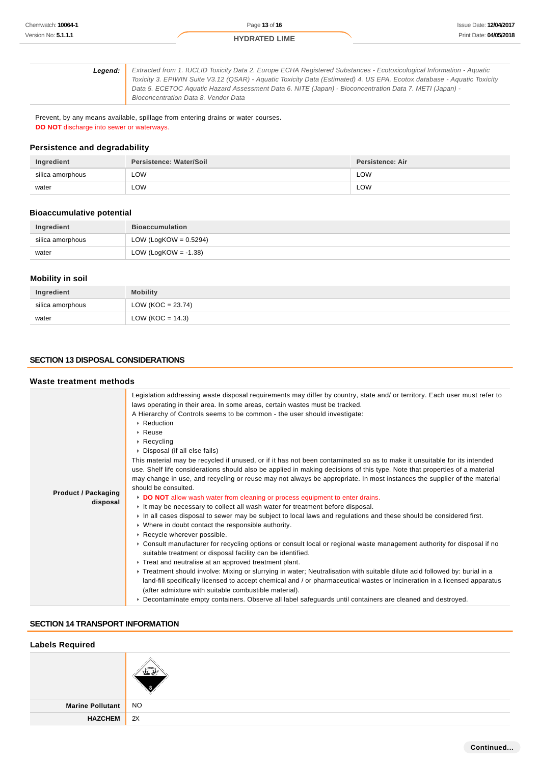| Leaend: | Extracted from 1. IUCLID Toxicity Data 2. Europe ECHA Registered Substances - Ecotoxicological Information - Aquatic    |
|---------|-------------------------------------------------------------------------------------------------------------------------|
|         | Toxicity 3. EPIWIN Suite V3.12 (QSAR) - Aquatic Toxicity Data (Estimated) 4. US EPA, Ecotox database - Aquatic Toxicity |
|         | Data 5. ECETOC Aguatic Hazard Assessment Data 6. NITE (Japan) - Bioconcentration Data 7. METI (Japan) -                 |
|         | Bioconcentration Data 8. Vendor Data                                                                                    |
|         |                                                                                                                         |

Prevent, by any means available, spillage from entering drains or water courses. **DO NOT** discharge into sewer or waterways.

### **Persistence and degradability**

| Ingredient       | Persistence: Water/Soil | <b>Persistence: Air</b> |
|------------------|-------------------------|-------------------------|
| silica amorphous | LOW                     | <b>LOW</b>              |
| water            | LOW                     | LOW                     |

#### **Bioaccumulative potential**

| Ingredient       | <b>Bioaccumulation</b>   |
|------------------|--------------------------|
| silica amorphous | LOW (LogKOW = $0.5294$ ) |
| water            | LOW (LogKOW = -1.38)     |

#### **Mobility in soil**

| Ingredient       | <b>Mobility</b>     |
|------------------|---------------------|
| silica amorphous | $LOW (KOC = 23.74)$ |
| water            | LOW (KOC = $14.3$ ) |

### **SECTION 13 DISPOSAL CONSIDERATIONS**

#### **Waste treatment methods Product / Packaging disposal** Legislation addressing waste disposal requirements may differ by country, state and/ or territory. Each user must refer to laws operating in their area. In some areas, certain wastes must be tracked. A Hierarchy of Controls seems to be common - the user should investigate: ▶ Reduction Reuse Recycling Disposal (if all else fails) This material may be recycled if unused, or if it has not been contaminated so as to make it unsuitable for its intended use. Shelf life considerations should also be applied in making decisions of this type. Note that properties of a material may change in use, and recycling or reuse may not always be appropriate. In most instances the supplier of the material should be consulted. **DO NOT** allow wash water from cleaning or process equipment to enter drains. It may be necessary to collect all wash water for treatment before disposal. In all cases disposal to sewer may be subject to local laws and regulations and these should be considered first. Where in doubt contact the responsible authority. **Recycle wherever possible.** Consult manufacturer for recycling options or consult local or regional waste management authority for disposal if no suitable treatment or disposal facility can be identified. **F** Treat and neutralise at an approved treatment plant. Treatment should involve: Mixing or slurrying in water; Neutralisation with suitable dilute acid followed by: burial in a land-fill specifically licensed to accept chemical and / or pharmaceutical wastes or Incineration in a licensed apparatus (after admixture with suitable combustible material). Decontaminate empty containers. Observe all label safeguards until containers are cleaned and destroyed.

### **SECTION 14 TRANSPORT INFORMATION**

| <b>NO</b> |
|-----------|
| 2X        |
|           |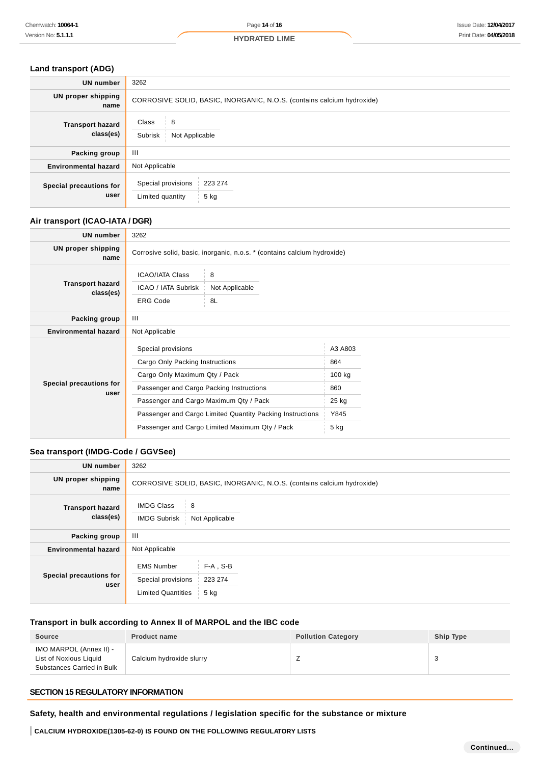# **Land transport (ADG)**

| <b>UN number</b>                     | 3262                                                                   |
|--------------------------------------|------------------------------------------------------------------------|
| <b>UN proper shipping</b><br>name    | CORROSIVE SOLID, BASIC, INORGANIC, N.O.S. (contains calcium hydroxide) |
| <b>Transport hazard</b><br>class(es) | 8<br>Class<br>Subrisk<br>Not Applicable                                |
| Packing group                        | Ш                                                                      |
| <b>Environmental hazard</b>          | Not Applicable                                                         |
| Special precautions for<br>user      | Special provisions<br>223 274<br>Limited quantity<br>5 kg              |

# **Air transport (ICAO-IATA / DGR)**

| <b>UN number</b>                     | 3262                                                             |                                                                          |         |  |
|--------------------------------------|------------------------------------------------------------------|--------------------------------------------------------------------------|---------|--|
| UN proper shipping<br>name           |                                                                  | Corrosive solid, basic, inorganic, n.o.s. * (contains calcium hydroxide) |         |  |
| <b>Transport hazard</b><br>class(es) | <b>ICAO/IATA Class</b><br>ICAO / IATA Subrisk<br><b>ERG Code</b> | 8<br>Not Applicable<br>8L                                                |         |  |
| Packing group                        | Ш                                                                |                                                                          |         |  |
| <b>Environmental hazard</b>          | Not Applicable                                                   |                                                                          |         |  |
| Special precautions for<br>user      | Special provisions                                               |                                                                          | A3 A803 |  |
|                                      | Cargo Only Packing Instructions                                  |                                                                          | 864     |  |
|                                      | Cargo Only Maximum Qty / Pack                                    |                                                                          | 100 kg  |  |
|                                      | Passenger and Cargo Packing Instructions                         |                                                                          | 860     |  |
|                                      | Passenger and Cargo Maximum Qty / Pack                           |                                                                          | 25 kg   |  |
|                                      | Passenger and Cargo Limited Quantity Packing Instructions        |                                                                          | Y845    |  |
|                                      | Passenger and Cargo Limited Maximum Qty / Pack                   |                                                                          | 5 kg    |  |

# **Sea transport (IMDG-Code / GGVSee)**

| 3262                                                                   |                                  |  |
|------------------------------------------------------------------------|----------------------------------|--|
| CORROSIVE SOLID, BASIC, INORGANIC, N.O.S. (contains calcium hydroxide) |                                  |  |
| <b>IMDG Class</b><br>8<br><b>IMDG Subrisk</b><br>Not Applicable        |                                  |  |
| $\mathbf{III}$                                                         |                                  |  |
| Not Applicable                                                         |                                  |  |
| <b>EMS Number</b><br>Special provisions<br><b>Limited Quantities</b>   | $F-A$ , S-B<br>223 274<br>$5$ kg |  |
|                                                                        |                                  |  |

# **Transport in bulk according to Annex II of MARPOL and the IBC code**

| <b>Source</b>                                                                   | <b>Product name</b>      | <b>Pollution Category</b> | Ship Type |
|---------------------------------------------------------------------------------|--------------------------|---------------------------|-----------|
| IMO MARPOL (Annex II) -<br>List of Noxious Liquid<br>Substances Carried in Bulk | Calcium hydroxide slurry |                           | w         |

# **SECTION 15 REGULATORY INFORMATION**

**Safety, health and environmental regulations / legislation specific for the substance or mixture**

**CALCIUM HYDROXIDE(1305-62-0) IS FOUND ON THE FOLLOWING REGULATORY LISTS**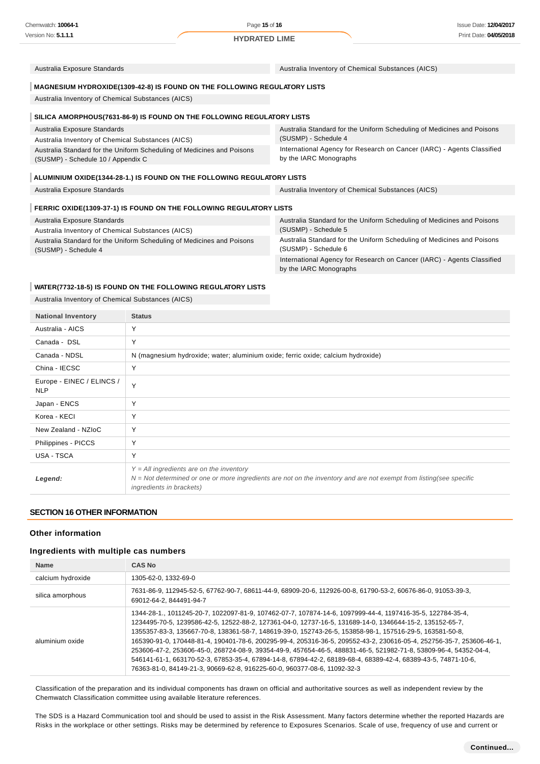Australia Exposure Standards Australia Inventory of Chemical Substances (AICS)

## **MAGNESIUM HYDROXIDE(1309-42-8) IS FOUND ON THE FOLLOWING REGULATORY LISTS**

Australia Inventory of Chemical Substances (AICS)

### **SILICA AMORPHOUS(7631-86-9) IS FOUND ON THE FOLLOWING REGULATORY LISTS**

| Australia Exposure Standards                                           | Australia Standard for the Uniform Scheduling of Medicines and Poisons |
|------------------------------------------------------------------------|------------------------------------------------------------------------|
| Australia Inventory of Chemical Substances (AICS)                      | (SUSMP) - Schedule 4                                                   |
| Australia Standard for the Uniform Scheduling of Medicines and Poisons | International Agency for Research on Cancer (IARC) - Agents Classified |
| (SUSMP) - Schedule 10 / Appendix C                                     | by the IARC Monographs                                                 |

#### **ALUMINIUM OXIDE(1344-28-1.) IS FOUND ON THE FOLLOWING REGULATORY LISTS**

Australia Exposure Standards **Australia Inventory of Chemical Substances (AICS)** Australia Inventory of Chemical Substances (AICS)

#### **FERRIC OXIDE(1309-37-1) IS FOUND ON THE FOLLOWING REGULATORY LISTS**

| Australia Exposure Standards                                                                   | Australia Standard for the Uniform Scheduling of Medicines and Poisons                         |
|------------------------------------------------------------------------------------------------|------------------------------------------------------------------------------------------------|
| Australia Inventory of Chemical Substances (AICS)                                              | (SUSMP) - Schedule 5                                                                           |
| Australia Standard for the Uniform Scheduling of Medicines and Poisons<br>(SUSMP) - Schedule 4 | Australia Standard for the Uniform Scheduling of Medicines and Poisons<br>(SUSMP) - Schedule 6 |
|                                                                                                | International Agency for Research on Cancer (IARC) - Agents Classified                         |

by the IARC Monographs

#### **WATER(7732-18-5) IS FOUND ON THE FOLLOWING REGULATORY LISTS**

Australia Inventory of Chemical Substances (AICS)

| <b>National Inventory</b>               | <b>Status</b>                                                                                                                                                                                   |
|-----------------------------------------|-------------------------------------------------------------------------------------------------------------------------------------------------------------------------------------------------|
| Australia - AICS                        | Y                                                                                                                                                                                               |
| Canada - DSL                            | Υ                                                                                                                                                                                               |
| Canada - NDSL                           | N (magnesium hydroxide; water; aluminium oxide; ferric oxide; calcium hydroxide)                                                                                                                |
| China - IECSC                           | Υ                                                                                                                                                                                               |
| Europe - EINEC / ELINCS /<br><b>NLP</b> | Y                                                                                                                                                                                               |
| Japan - ENCS                            | Y                                                                                                                                                                                               |
| Korea - KECI                            | Υ                                                                                                                                                                                               |
| New Zealand - NZIoC                     | Υ                                                                                                                                                                                               |
| Philippines - PICCS                     | Υ                                                                                                                                                                                               |
| USA - TSCA                              | Υ                                                                                                                                                                                               |
| Legend:                                 | $Y = All$ ingredients are on the inventory<br>$N = Not$ determined or one or more ingredients are not on the inventory and are not exempt from listing(see specific<br>ingredients in brackets) |

### **SECTION 16 OTHER INFORMATION**

### **Other information**

## **Ingredients with multiple cas numbers**

| <b>Name</b>       | <b>CAS No</b>                                                                                                                                                                                                                                                                                                                                                                                                                                                                                                                                                                                                                                                                                                                                                                |
|-------------------|------------------------------------------------------------------------------------------------------------------------------------------------------------------------------------------------------------------------------------------------------------------------------------------------------------------------------------------------------------------------------------------------------------------------------------------------------------------------------------------------------------------------------------------------------------------------------------------------------------------------------------------------------------------------------------------------------------------------------------------------------------------------------|
| calcium hydroxide | 1305-62-0, 1332-69-0                                                                                                                                                                                                                                                                                                                                                                                                                                                                                                                                                                                                                                                                                                                                                         |
| silica amorphous  | 7631-86-9, 112945-52-5, 67762-90-7, 68611-44-9, 68909-20-6, 112926-00-8, 61790-53-2, 60676-86-0, 91053-39-3,<br>69012-64-2, 844491-94-7                                                                                                                                                                                                                                                                                                                                                                                                                                                                                                                                                                                                                                      |
| aluminium oxide   | 1344-28-1., 1011245-20-7, 1022097-81-9, 107462-07-7, 107874-14-6, 1097999-44-4, 1197416-35-5, 122784-35-4,<br>1234495-70-5, 1239586-42-5, 12522-88-2, 127361-04-0, 12737-16-5, 131689-14-0, 1346644-15-2, 135152-65-7,<br>1355357-83-3, 135667-70-8, 138361-58-7, 148619-39-0, 152743-26-5, 153858-98-1, 157516-29-5, 163581-50-8,<br>165390-91-0, 170448-81-4, 190401-78-6, 200295-99-4, 205316-36-5, 209552-43-2, 230616-05-4, 252756-35-7, 253606-46-1,<br>253606-47-2, 253606-45-0, 268724-08-9, 39354-49-9, 457654-46-5, 488831-46-5, 521982-71-8, 53809-96-4, 54352-04-4,<br>546141-61-1, 663170-52-3, 67853-35-4, 67894-14-8, 67894-42-2, 68189-68-4, 68389-42-4, 68389-43-5, 74871-10-6,<br>76363-81-0, 84149-21-3, 90669-62-8, 916225-60-0, 960377-08-6, 11092-32-3 |

Classification of the preparation and its individual components has drawn on official and authoritative sources as well as independent review by the Chemwatch Classification committee using available literature references.

The SDS is a Hazard Communication tool and should be used to assist in the Risk Assessment. Many factors determine whether the reported Hazards are Risks in the workplace or other settings. Risks may be determined by reference to Exposures Scenarios. Scale of use, frequency of use and current or